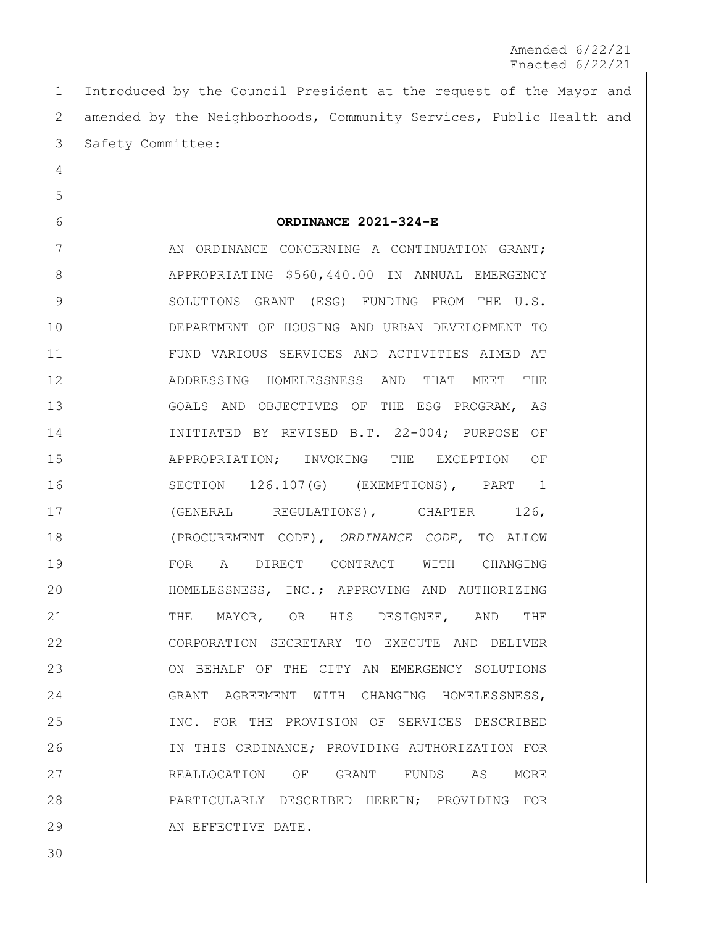Amended 6/22/21 Enacted 6/22/21

 Introduced by the Council President at the request of the Mayor and 2 amended by the Neighborhoods, Community Services, Public Health and 3 Safety Committee:

**ORDINANCE 2021-324-E**

7 AN ORDINANCE CONCERNING A CONTINUATION GRANT; 8 APPROPRIATING \$560,440.00 IN ANNUAL EMERGENCY 9 SOLUTIONS GRANT (ESG) FUNDING FROM THE U.S. DEPARTMENT OF HOUSING AND URBAN DEVELOPMENT TO FUND VARIOUS SERVICES AND ACTIVITIES AIMED AT ADDRESSING HOMELESSNESS AND THAT MEET THE GOALS AND OBJECTIVES OF THE ESG PROGRAM, AS INITIATED BY REVISED B.T. 22-004; PURPOSE OF APPROPRIATION; INVOKING THE EXCEPTION OF SECTION 126.107(G) (EXEMPTIONS), PART 1 17 (GENERAL REGULATIONS), CHAPTER 126, (PROCUREMENT CODE), *ORDINANCE CODE*, TO ALLOW 19 FOR A DIRECT CONTRACT WITH CHANGING HOMELESSNESS, INC.; APPROVING AND AUTHORIZING 21 THE MAYOR, OR HIS DESIGNEE, AND THE CORPORATION SECRETARY TO EXECUTE AND DELIVER ON BEHALF OF THE CITY AN EMERGENCY SOLUTIONS GRANT AGREEMENT WITH CHANGING HOMELESSNESS, INC. FOR THE PROVISION OF SERVICES DESCRIBED IN THIS ORDINANCE; PROVIDING AUTHORIZATION FOR REALLOCATION OF GRANT FUNDS AS MORE PARTICULARLY DESCRIBED HEREIN; PROVIDING FOR 29 AN EFFECTIVE DATE.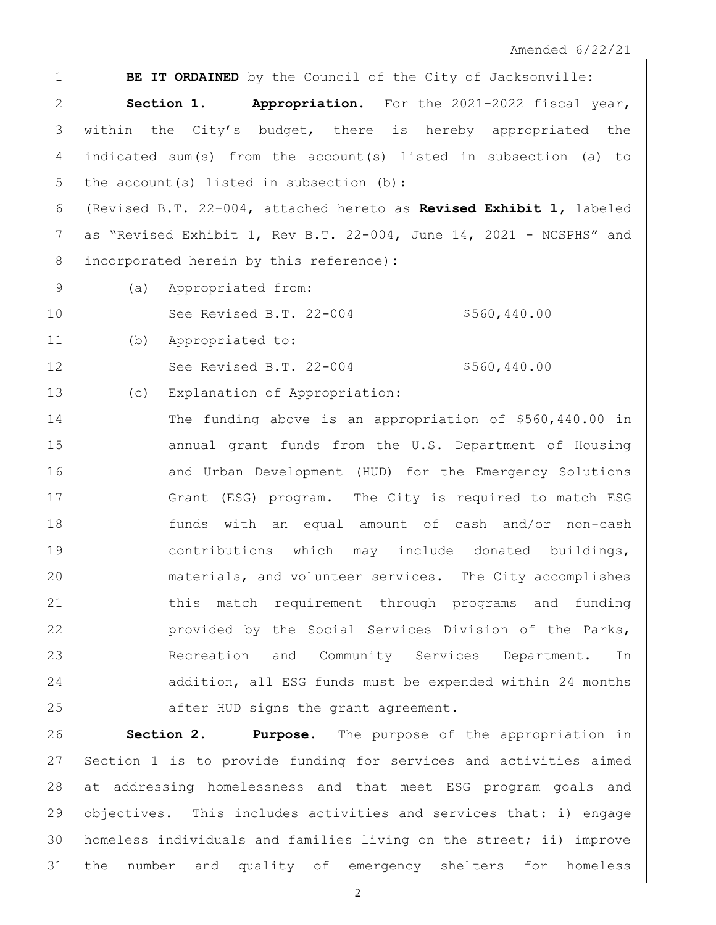Amended 6/22/21

**BE IT ORDAINED** by the Council of the City of Jacksonville: **Section 1. Appropriation.** For the 2021-2022 fiscal year, within the City's budget, there is hereby appropriated the indicated sum(s) from the account(s) listed in subsection (a) to 5 the account (s) listed in subsection (b): (Revised B.T. 22-004, attached hereto as **Revised Exhibit 1,** labeled as "Revised Exhibit 1, Rev B.T. 22-004, June 14, 2021 - NCSPHS" and incorporated herein by this reference)**:** 9 (a) Appropriated from: 10 See Revised B.T. 22-004 \$560,440.00 (b) Appropriated to: 12 See Revised B.T. 22-004 \$560,440.00 (c) Explanation of Appropriation: The funding above is an appropriation of \$560,440.00 in annual grant funds from the U.S. Department of Housing 16 and Urban Development (HUD) for the Emergency Solutions Grant (ESG) program. The City is required to match ESG funds with an equal amount of cash and/or non-cash contributions which may include donated buildings, materials, and volunteer services. The City accomplishes this match requirement through programs and funding provided by the Social Services Division of the Parks, Recreation and Community Services Department. In 24 addition, all ESG funds must be expended within 24 months 25 after HUD signs the grant agreement. **Section 2. Purpose**. The purpose of the appropriation in

 Section 1 is to provide funding for services and activities aimed at addressing homelessness and that meet ESG program goals and objectives. This includes activities and services that: i) engage homeless individuals and families living on the street; ii) improve the number and quality of emergency shelters for homeless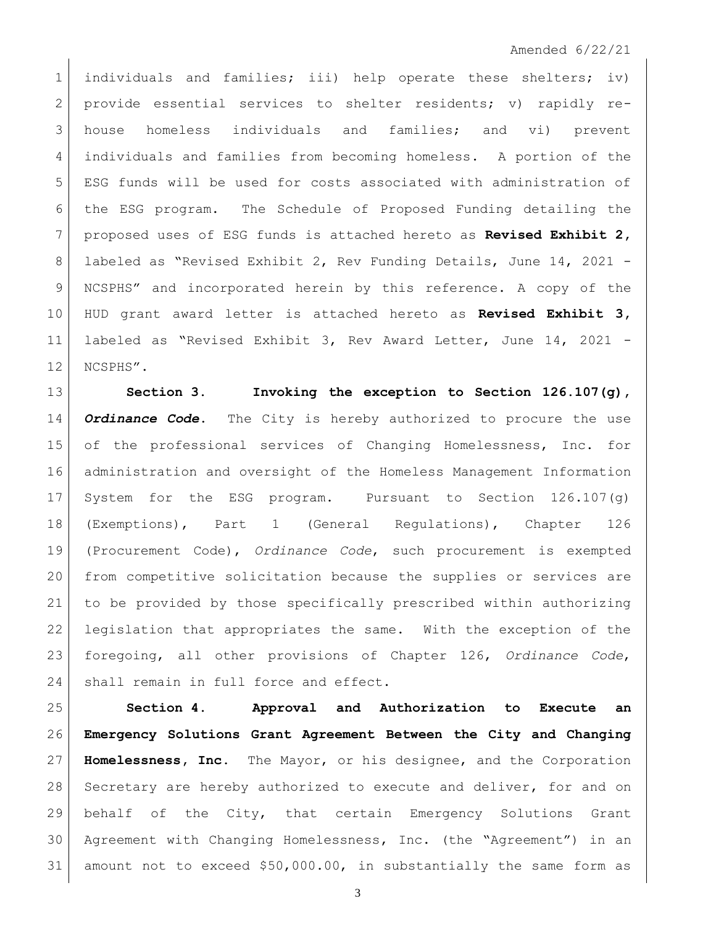## Amended 6/22/21

 individuals and families; iii) help operate these shelters; iv) 2 provide essential services to shelter residents; v) rapidly re- house homeless individuals and families; and vi) prevent individuals and families from becoming homeless. A portion of the ESG funds will be used for costs associated with administration of the ESG program. The Schedule of Proposed Funding detailing the proposed uses of ESG funds is attached hereto as **Revised Exhibit 2,**  labeled as "Revised Exhibit 2, Rev Funding Details, June 14, 2021 - NCSPHS" and incorporated herein by this reference. A copy of the HUD grant award letter is attached hereto as **Revised Exhibit 3,**  labeled as "Revised Exhibit 3, Rev Award Letter, June 14, 2021 - 12 NCSPHS".

 **Section 3. Invoking the exception to Section 126.107(g),**  *Ordinance Code***.** The City is hereby authorized to procure the use of the professional services of Changing Homelessness, Inc. for administration and oversight of the Homeless Management Information System for the ESG program. Pursuant to Section 126.107(g) (Exemptions), Part 1 (General Regulations), Chapter 126 (Procurement Code), *Ordinance Code*, such procurement is exempted from competitive solicitation because the supplies or services are to be provided by those specifically prescribed within authorizing legislation that appropriates the same. With the exception of the foregoing, all other provisions of Chapter 126, *Ordinance Code*, 24 | shall remain in full force and effect.

 **Section 4. Approval and Authorization to Execute an Emergency Solutions Grant Agreement Between the City and Changing Homelessness, Inc.** The Mayor, or his designee, and the Corporation 28 Secretary are hereby authorized to execute and deliver, for and on behalf of the City, that certain Emergency Solutions Grant Agreement with Changing Homelessness, Inc. (the "Agreement") in an amount not to exceed \$50,000.00, in substantially the same form as